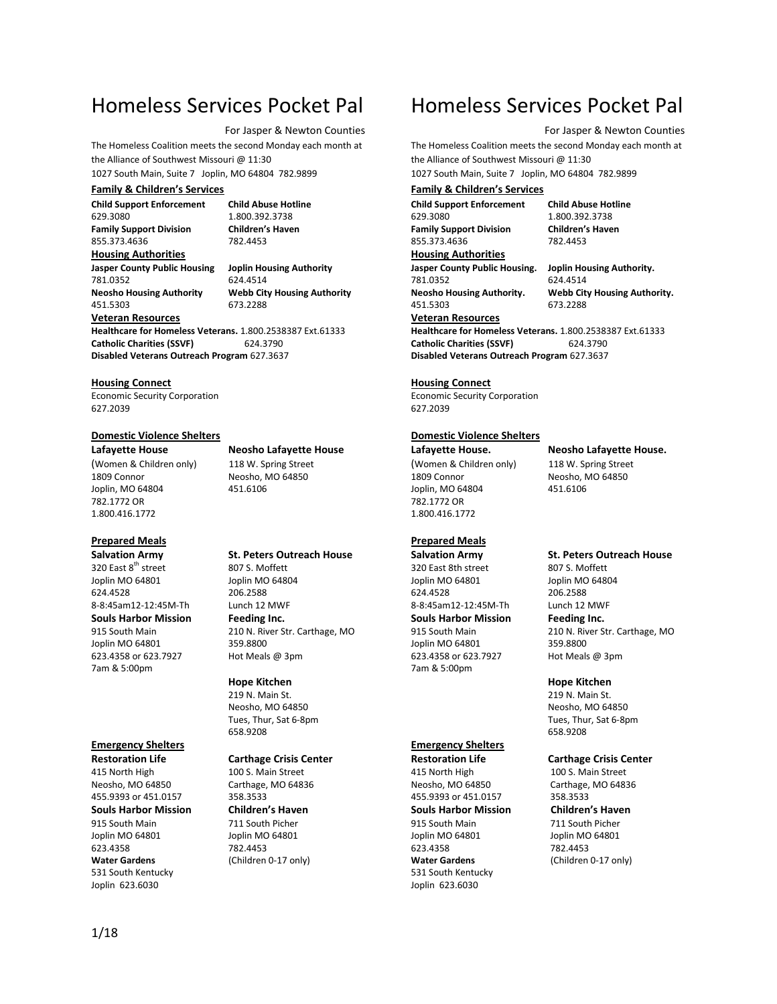## Homeless Services Pocket Pal

#### For Jasper & Newton Counties

The Homeless Coalition meets the second Monday each month at the Alliance of Southwest Missouri @ 11:30

1027 South Main, Suite 7 Joplin, MO 64804 782.9899

#### **Family & Children's Services**

**Child Support Enforcement Child Abuse Hotline** 629.3080 1.800.392.3738 **Family Support Division Children's**<br>855.373.4636 782.4453 855.373.4636

**Housing Authorities Jasper County Public Housing Joplin Housing Authority** 781.0352 624.4514 451.5303 673.2288

**Neosho Housing Authority Webb City Housing Authority**

## **Veteran Resources**

**Healthcare for Homeless Veterans.** 1.800.2538387 Ext.61333 Catholic Charities (SSVF) 624.3790 **Disabled Veterans Outreach Program** 627.3637

#### **Housing Connect**

Economic Security Corporation 627.2039

#### **Domestic Violence Shelters**

(Women & Children only) 118 W. Spring Street 1809 Connor Neosho, MO 64850 Joplin, MO 64804 451.6106 782.1772 OR 1.800.416.1772

### **Prepared Meals**

320 East 8<sup>th</sup> street 807 S. Moffett<br>Joplin MO 64801 **Strategy** 800 Joplin MO 64804 Joplin MO 64801 Joplin MO 64804 624.4528 206.2588 8-8:45am12-12:45M-Th Lunch 12 MWF **Souls Harbor Mission Feeding Inc.** Joplin MO 64801 359.8800 623.4358 or 623.7927 Hot Meals @ 3pm 7am & 5:00pm

#### **Emergency Shelters**

415 North High 100 S. Main Street Neosho, MO 64850 Carthage, MO 64836 455.9393 or 451.0157 358.3533<br> **Souls Harbor Mission Children's Haven Souls Harbor Mission** 915 South Main 711 South Picher<br>
Joplin MO 64801 Joplin MO 64801 623.4358 782.4453<br> **Water Gardens** (Children 531 South Kentucky Joplin 623.6030

**Lafayette House Neosho Lafayette House**

# **Salvation Army St. Peters Outreach House**

915 South Main 210 N. River Str. Carthage, MO

#### **Hope Kitchen**

219 N. Main St. Neosho, MO 64850 Tues, Thur, Sat 6-8pm 658.9208

#### **Restoration Life Carthage Crisis Center**

Joplin MO 64801 (Children 0-17 only)

## Homeless Services Pocket Pal

For Jasper & Newton Counties

The Homeless Coalition meets the second Monday each month at the Alliance of Southwest Missouri @ 11:30 1027 South Main, Suite 7 Joplin, MO 64804 782.9899

#### **Family & Children's Services**

**Child Support Enforcement Child Abuse Hotline** 629.3080 1.800.392.3738 **Family Support Division Children's**<br>855.373.4636 782.4453 855.373.4636

#### **Housing Authorities**

781.0352 624.4514 451.5303 673.2288

**Jasper County Public Housing. Joplin Housing Authority.**

**Neosho Housing Authority. Webb City Housing Authority.**

**Veteran Resources Healthcare for Homeless Veterans.** 1.800.2538387 Ext.61333 **Catholic Charities (SSVF)** 624.3790

**Disabled Veterans Outreach Program** 627.3637

#### **Housing Connect**

Economic Security Corporation 627.2039

#### **Domestic Violence Shelters**

(Women & Children only) 118 W. Spring Street 1809 Connor Neosho, MO 64850 Joplin, MO 64804 451.6106 782.1772 OR 1.800.416.1772

#### **Prepared Meals**

320 East 8th street 807 S. Moffett Joplin MO 64801 Joplin MO 64804 624.4528 206.2588 8-8:45am12-12:45M-Th Lunch 12 MWF **Souls Harbor Mission Feeding Inc.** Joplin MO 64801 359.8800 623.4358 or 623.7927 Hot Meals @ 3pm 7am & 5:00pm

### **Emergency Shelters**

415 North High 100 S. Main Street Neosho, MO 64850 Carthage, MO 64836 455.9393 or 451.0157 358.3533<br>**Souls Harbor Mission Children's Haven Souls Harbor Mission** 915 South Main 711 South Picher<br>
Joplin MO 64801 Joplin MO 64801 623.4358 782.4453<br> **Water Gardens** (Children 531 South Kentucky Joplin 623.6030

**Lafayette House. Neosho Lafayette House.**

## **Salvation Army St. Peters Outreach House**

915 South Main 210 N. River Str. Carthage, MO

#### **Hope Kitchen**

219 N. Main St. Neosho, MO 64850 Tues, Thur, Sat 6-8pm 658.9208

#### **Restoration Life Carthage Crisis Center**

Joplin MO 64801 (Children 0-17 only)